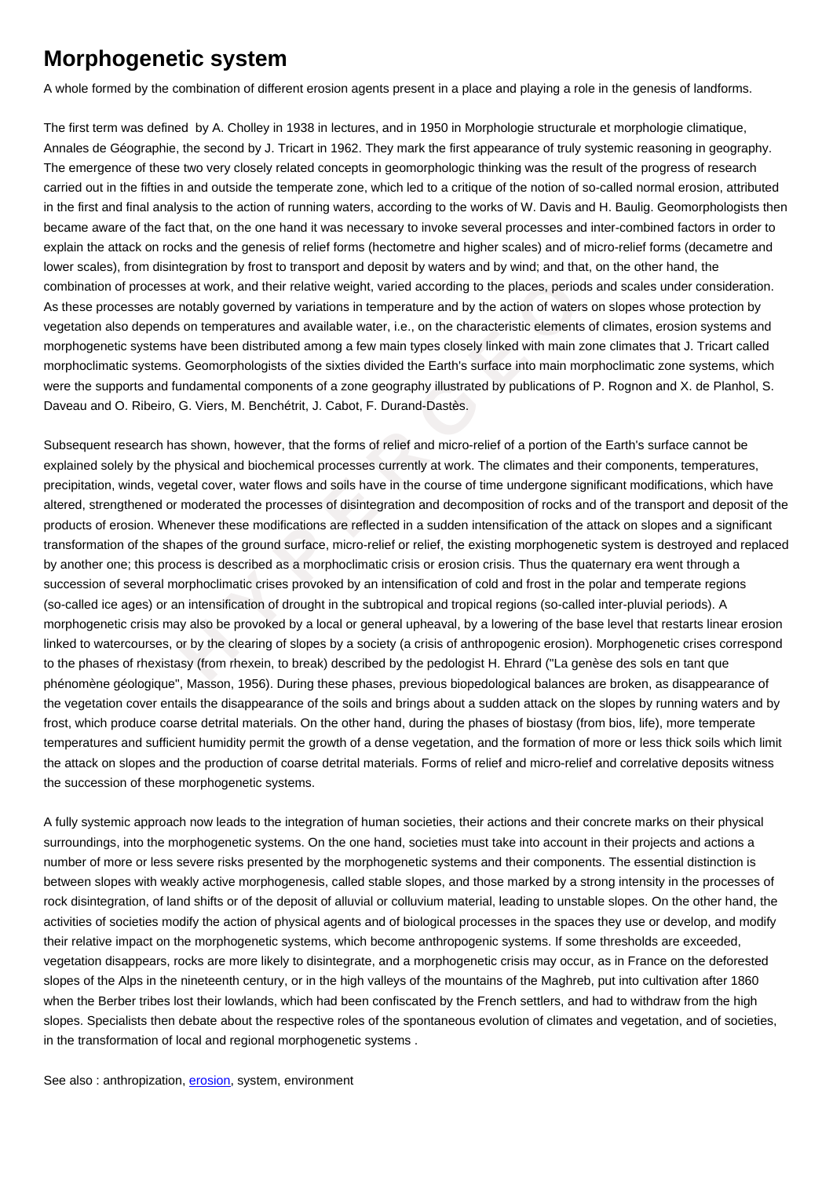## **Morphogenetic system**

A whole formed by the combination of different erosion agents present in a place and playing a role in the genesis of landforms.

The first term was defined by A. Cholley in 1938 in lectures, and in 1950 in Morphologie structurale et morphologie climatique, Annales de Géographie, the second by J. Tricart in 1962. They mark the first appearance of truly systemic reasoning in geography. The emergence of these two very closely related concepts in geomorphologic thinking was the result of the progress of research carried out in the fifties in and outside the temperate zone, which led to a critique of the notion of so-called normal erosion, attributed in the first and final analysis to the action of running waters, according to the works of W. Davis and H. Baulig. Geomorphologists then became aware of the fact that, on the one hand it was necessary to invoke several processes and inter-combined factors in order to explain the attack on rocks and the genesis of relief forms (hectometre and higher scales) and of micro-relief forms (decametre and lower scales), from disintegration by frost to transport and deposit by waters and by wind; and that, on the other hand, the combination of processes at work, and their relative weight, varied according to the places, periods and scales under consideration. As these processes are notably governed by variations in temperature and by the action of waters on slopes whose protection by vegetation also depends on temperatures and available water, i.e., on the characteristic elements of climates, erosion systems and morphogenetic systems have been distributed among a few main types closely linked with main zone climates that J. Tricart called morphoclimatic systems. Geomorphologists of the sixties divided the Earth's surface into main morphoclimatic zone systems, which were the supports and fundamental components of a zone geography illustrated by publications of P. Rognon and X. de Planhol, S. Daveau and O. Ribeiro, G. Viers, M. Benchétrit, J. Cabot, F. Durand-Dastès.

cocesses at work, and their relative weight, varied according to the places, periods are are notably governed by variations in temperature and by the action of waters or epends on temperature and available water, i.e., on Subsequent research has shown, however, that the forms of relief and micro-relief of a portion of the Earth's surface cannot be explained solely by the physical and biochemical processes currently at work. The climates and their components, temperatures, precipitation, winds, vegetal cover, water flows and soils have in the course of time undergone significant modifications, which have altered, strengthened or moderated the processes of disintegration and decomposition of rocks and of the transport and deposit of the products of erosion. Whenever these modifications are reflected in a sudden intensification of the attack on slopes and a significant transformation of the shapes of the ground surface, micro-relief or relief, the existing morphogenetic system is destroyed and replaced by another one; this process is described as a morphoclimatic crisis or erosion crisis. Thus the quaternary era went through a succession of several morphoclimatic crises provoked by an intensification of cold and frost in the polar and temperate regions (so-called ice ages) or an intensification of drought in the subtropical and tropical regions (so-called inter-pluvial periods). A morphogenetic crisis may also be provoked by a local or general upheaval, by a lowering of the base level that restarts linear erosion linked to watercourses, or by the clearing of slopes by a society (a crisis of anthropogenic erosion). Morphogenetic crises correspond to the phases of rhexistasy (from rhexein, to break) described by the pedologist H. Ehrard ("La genèse des sols en tant que phénomène géologique", Masson, 1956). During these phases, previous biopedological balances are broken, as disappearance of the vegetation cover entails the disappearance of the soils and brings about a sudden attack on the slopes by running waters and by frost, which produce coarse detrital materials. On the other hand, during the phases of biostasy (from bios, life), more temperate temperatures and sufficient humidity permit the growth of a dense vegetation, and the formation of more or less thick soils which limit the attack on slopes and the production of coarse detrital materials. Forms of relief and micro-relief and correlative deposits witness the succession of these morphogenetic systems.

A fully systemic approach now leads to the integration of human societies, their actions and their concrete marks on their physical surroundings, into the morphogenetic systems. On the one hand, societies must take into account in their projects and actions a number of more or less severe risks presented by the morphogenetic systems and their components. The essential distinction is between slopes with weakly active morphogenesis, called stable slopes, and those marked by a strong intensity in the processes of rock disintegration, of land shifts or of the deposit of alluvial or colluvium material, leading to unstable slopes. On the other hand, the activities of societies modify the action of physical agents and of biological processes in the spaces they use or develop, and modify their relative impact on the morphogenetic systems, which become anthropogenic systems. If some thresholds are exceeded, vegetation disappears, rocks are more likely to disintegrate, and a morphogenetic crisis may occur, as in France on the deforested slopes of the Alps in the nineteenth century, or in the high valleys of the mountains of the Maghreb, put into cultivation after 1860 when the Berber tribes lost their lowlands, which had been confiscated by the French settlers, and had to withdraw from the high slopes. Specialists then debate about the respective roles of the spontaneous evolution of climates and vegetation, and of societies, in the transformation of local and regional morphogenetic systems .

See also: anthropization, erosion, system, environment